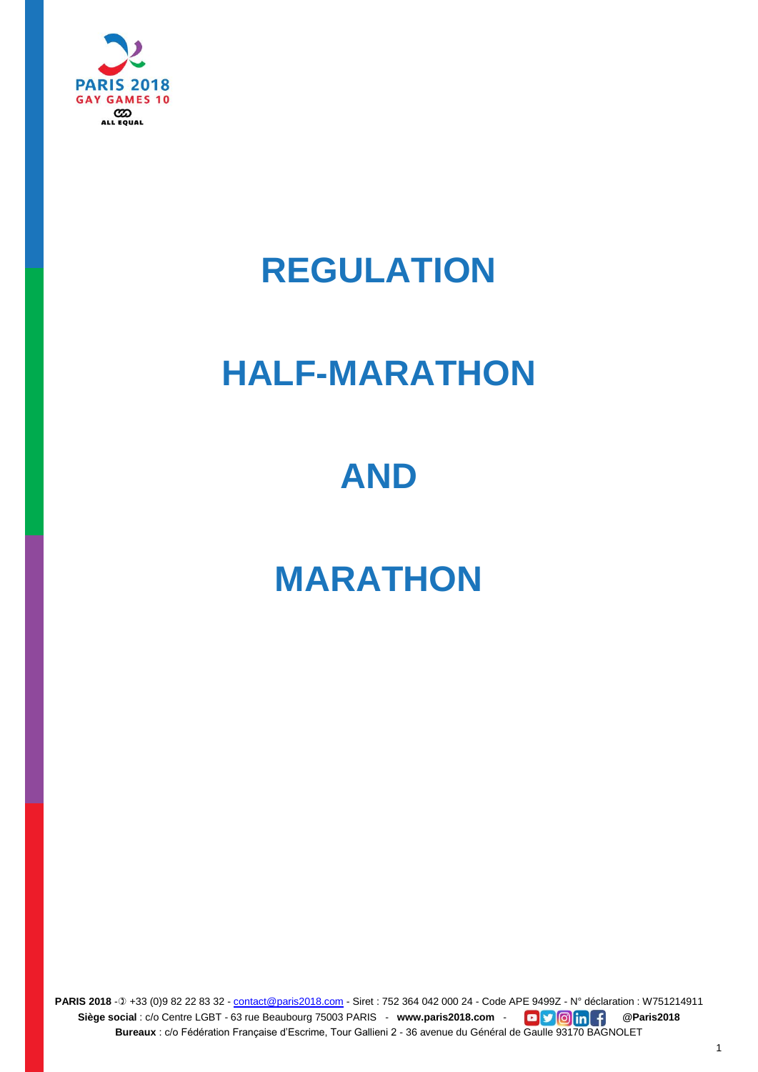

## **REGULATION**

## **HALF-MARATHON**

## **AND**

# **MARATHON**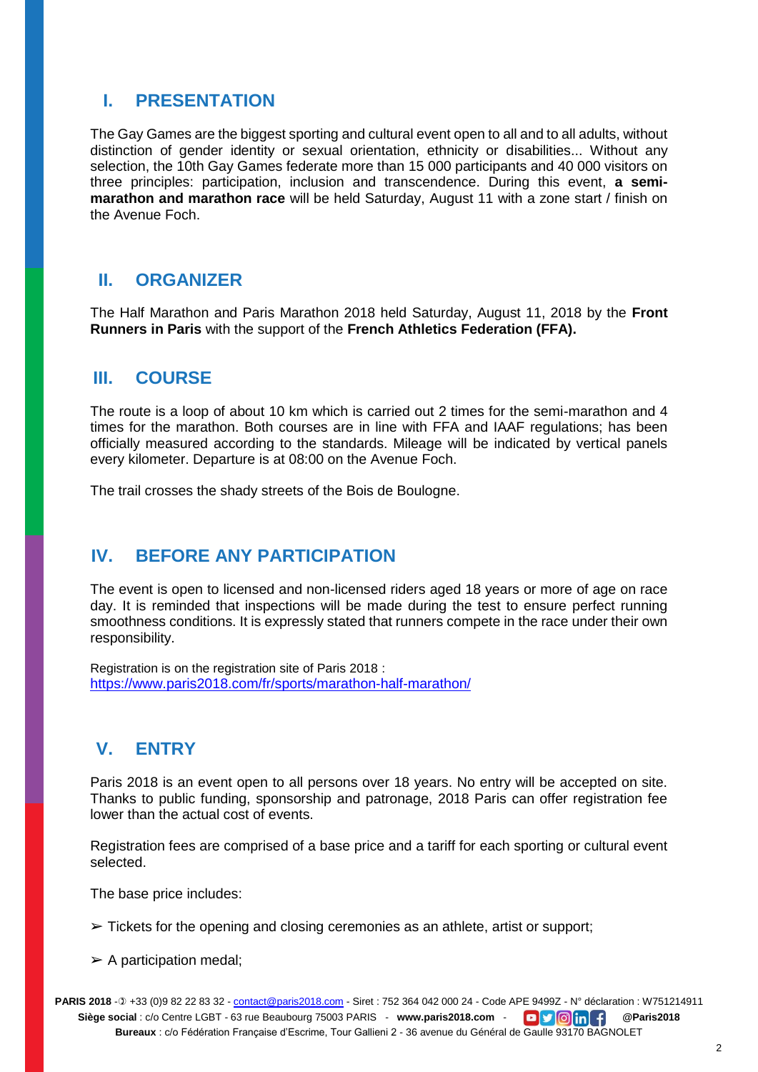## **I. PRESENTATION**

The Gay Games are the biggest sporting and cultural event open to all and to all adults, without distinction of gender identity or sexual orientation, ethnicity or disabilities... Without any selection, the 10th Gay Games federate more than 15 000 participants and 40 000 visitors on three principles: participation, inclusion and transcendence. During this event, **a semimarathon and marathon race** will be held Saturday, August 11 with a zone start / finish on the Avenue Foch.

### **II. ORGANIZER**

The Half Marathon and Paris Marathon 2018 held Saturday, August 11, 2018 by the **Front Runners in Paris** with the support of the **French Athletics Federation (FFA).**

### **III. COURSE**

The route is a loop of about 10 km which is carried out 2 times for the semi-marathon and 4 times for the marathon. Both courses are in line with FFA and IAAF regulations; has been officially measured according to the standards. Mileage will be indicated by vertical panels every kilometer. Departure is at 08:00 on the Avenue Foch.

The trail crosses the shady streets of the Bois de Boulogne.

## **IV. BEFORE ANY PARTICIPATION**

The event is open to licensed and non-licensed riders aged 18 years or more of age on race day. It is reminded that inspections will be made during the test to ensure perfect running smoothness conditions. It is expressly stated that runners compete in the race under their own responsibility.

Registration is on the registration site of Paris 2018 : <https://www.paris2018.com/fr/sports/marathon-half-marathon/>

## **V. ENTRY**

Paris 2018 is an event open to all persons over 18 years. No entry will be accepted on site. Thanks to public funding, sponsorship and patronage, 2018 Paris can offer registration fee lower than the actual cost of events.

Registration fees are comprised of a base price and a tariff for each sporting or cultural event selected.

The base price includes:

 $\triangleright$  Tickets for the opening and closing ceremonies as an athlete, artist or support;

 $\triangleright$  A participation medal: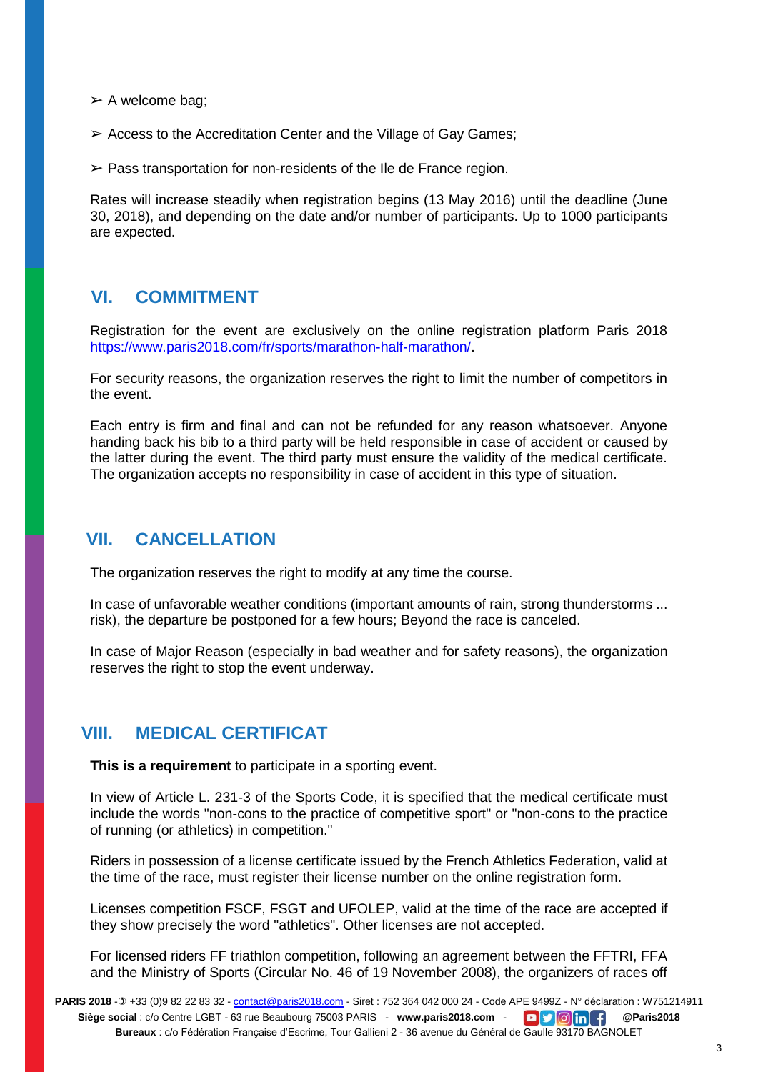$\triangleright$  A welcome bag;

 $\triangleright$  Access to the Accreditation Center and the Village of Gay Games;

 $\triangleright$  Pass transportation for non-residents of the IIe de France region.

Rates will increase steadily when registration begins (13 May 2016) until the deadline (June 30, 2018), and depending on the date and/or number of participants. Up to 1000 participants are expected.

### **VI. COMMITMENT**

Registration for the event are exclusively on the online registration platform Paris 2018 [https://www.paris2018.com/fr/sports/marathon-half-marathon/.](https://www.paris2018.com/fr/sports/marathon-half-marathon/)

For security reasons, the organization reserves the right to limit the number of competitors in the event.

Each entry is firm and final and can not be refunded for any reason whatsoever. Anyone handing back his bib to a third party will be held responsible in case of accident or caused by the latter during the event. The third party must ensure the validity of the medical certificate. The organization accepts no responsibility in case of accident in this type of situation.

### **VII. CANCELLATION**

The organization reserves the right to modify at any time the course.

In case of unfavorable weather conditions (important amounts of rain, strong thunderstorms ... risk), the departure be postponed for a few hours; Beyond the race is canceled.

In case of Major Reason (especially in bad weather and for safety reasons), the organization reserves the right to stop the event underway.

### **VIII. MEDICAL CERTIFICAT**

**This is a requirement** to participate in a sporting event.

In view of Article L. 231-3 of the Sports Code, it is specified that the medical certificate must include the words "non-cons to the practice of competitive sport" or "non-cons to the practice of running (or athletics) in competition."

Riders in possession of a license certificate issued by the French Athletics Federation, valid at the time of the race, must register their license number on the online registration form.

Licenses competition FSCF, FSGT and UFOLEP, valid at the time of the race are accepted if they show precisely the word "athletics". Other licenses are not accepted.

For licensed riders FF triathlon competition, following an agreement between the FFTRI, FFA and the Ministry of Sports (Circular No. 46 of 19 November 2008), the organizers of races off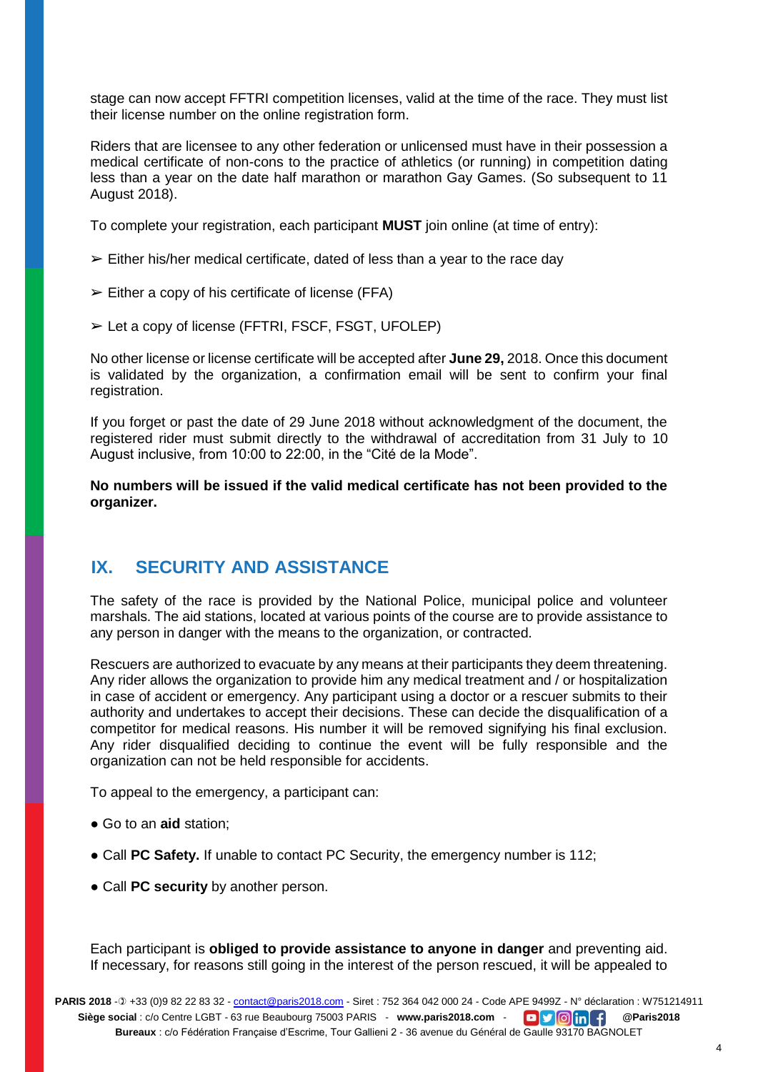stage can now accept FFTRI competition licenses, valid at the time of the race. They must list their license number on the online registration form.

Riders that are licensee to any other federation or unlicensed must have in their possession a medical certificate of non-cons to the practice of athletics (or running) in competition dating less than a year on the date half marathon or marathon Gay Games. (So subsequent to 11 August 2018).

To complete your registration, each participant **MUST** join online (at time of entry):

- $\geq$  Either his/her medical certificate, dated of less than a year to the race day
- $\triangleright$  Either a copy of his certificate of license (FFA)
- ➢ Let a copy of license (FFTRI, FSCF, FSGT, UFOLEP)

No other license or license certificate will be accepted after **June 29,** 2018. Once this document is validated by the organization, a confirmation email will be sent to confirm your final registration.

If you forget or past the date of 29 June 2018 without acknowledgment of the document, the registered rider must submit directly to the withdrawal of accreditation from 31 July to 10 August inclusive, from 10:00 to 22:00, in the "Cité de la Mode".

**No numbers will be issued if the valid medical certificate has not been provided to the organizer.**

## **IX. SECURITY AND ASSISTANCE**

The safety of the race is provided by the National Police, municipal police and volunteer marshals. The aid stations, located at various points of the course are to provide assistance to any person in danger with the means to the organization, or contracted.

Rescuers are authorized to evacuate by any means at their participants they deem threatening. Any rider allows the organization to provide him any medical treatment and / or hospitalization in case of accident or emergency. Any participant using a doctor or a rescuer submits to their authority and undertakes to accept their decisions. These can decide the disqualification of a competitor for medical reasons. His number it will be removed signifying his final exclusion. Any rider disqualified deciding to continue the event will be fully responsible and the organization can not be held responsible for accidents.

To appeal to the emergency, a participant can:

- Go to an **aid** station;
- Call **PC Safety.** If unable to contact PC Security, the emergency number is 112;
- Call **PC security** by another person.

Each participant is **obliged to provide assistance to anyone in danger** and preventing aid. If necessary, for reasons still going in the interest of the person rescued, it will be appealed to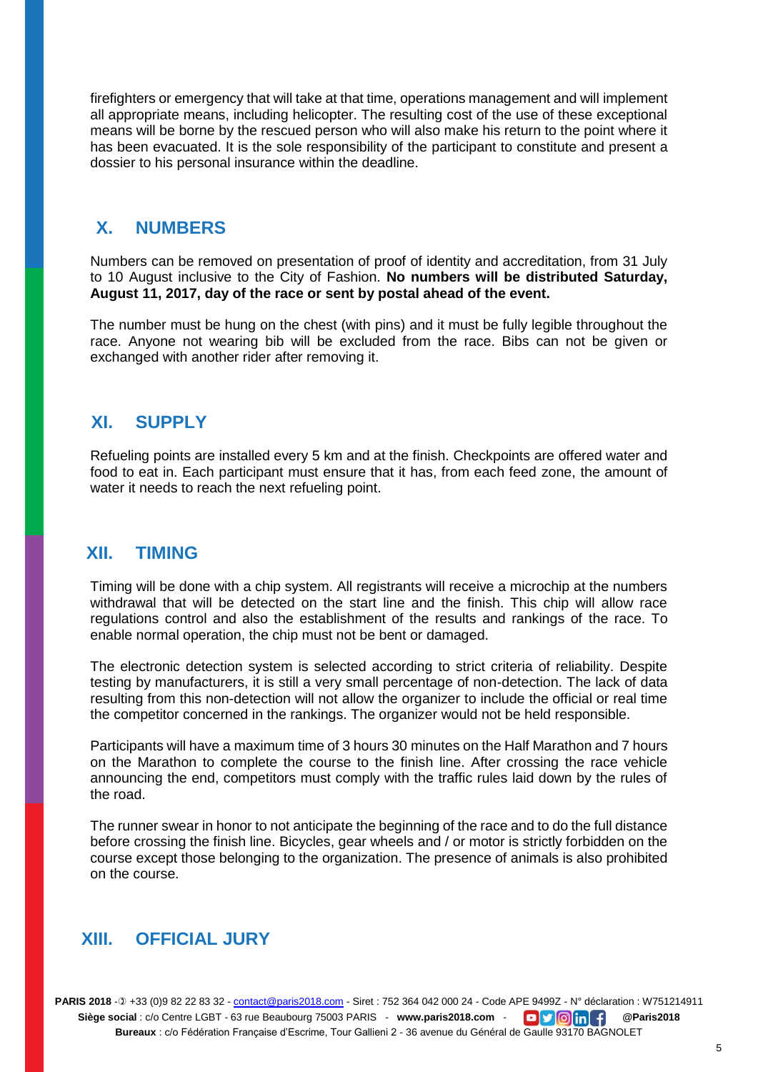firefighters or emergency that will take at that time, operations management and will implement all appropriate means, including helicopter. The resulting cost of the use of these exceptional means will be borne by the rescued person who will also make his return to the point where it has been evacuated. It is the sole responsibility of the participant to constitute and present a dossier to his personal insurance within the deadline.

## **X. NUMBERS**

Numbers can be removed on presentation of proof of identity and accreditation, from 31 July to 10 August inclusive to the City of Fashion. **No numbers will be distributed Saturday, August 11, 2017, day of the race or sent by postal ahead of the event.** 

The number must be hung on the chest (with pins) and it must be fully legible throughout the race. Anyone not wearing bib will be excluded from the race. Bibs can not be given or exchanged with another rider after removing it.

### **XI. SUPPLY**

Refueling points are installed every 5 km and at the finish. Checkpoints are offered water and food to eat in. Each participant must ensure that it has, from each feed zone, the amount of water it needs to reach the next refueling point.

### **XII. TIMING**

Timing will be done with a chip system. All registrants will receive a microchip at the numbers withdrawal that will be detected on the start line and the finish. This chip will allow race regulations control and also the establishment of the results and rankings of the race. To enable normal operation, the chip must not be bent or damaged.

The electronic detection system is selected according to strict criteria of reliability. Despite testing by manufacturers, it is still a very small percentage of non-detection. The lack of data resulting from this non-detection will not allow the organizer to include the official or real time the competitor concerned in the rankings. The organizer would not be held responsible.

Participants will have a maximum time of 3 hours 30 minutes on the Half Marathon and 7 hours on the Marathon to complete the course to the finish line. After crossing the race vehicle announcing the end, competitors must comply with the traffic rules laid down by the rules of the road.

The runner swear in honor to not anticipate the beginning of the race and to do the full distance before crossing the finish line. Bicycles, gear wheels and / or motor is strictly forbidden on the course except those belonging to the organization. The presence of animals is also prohibited on the course.

## **XIII. OFFICIAL JURY**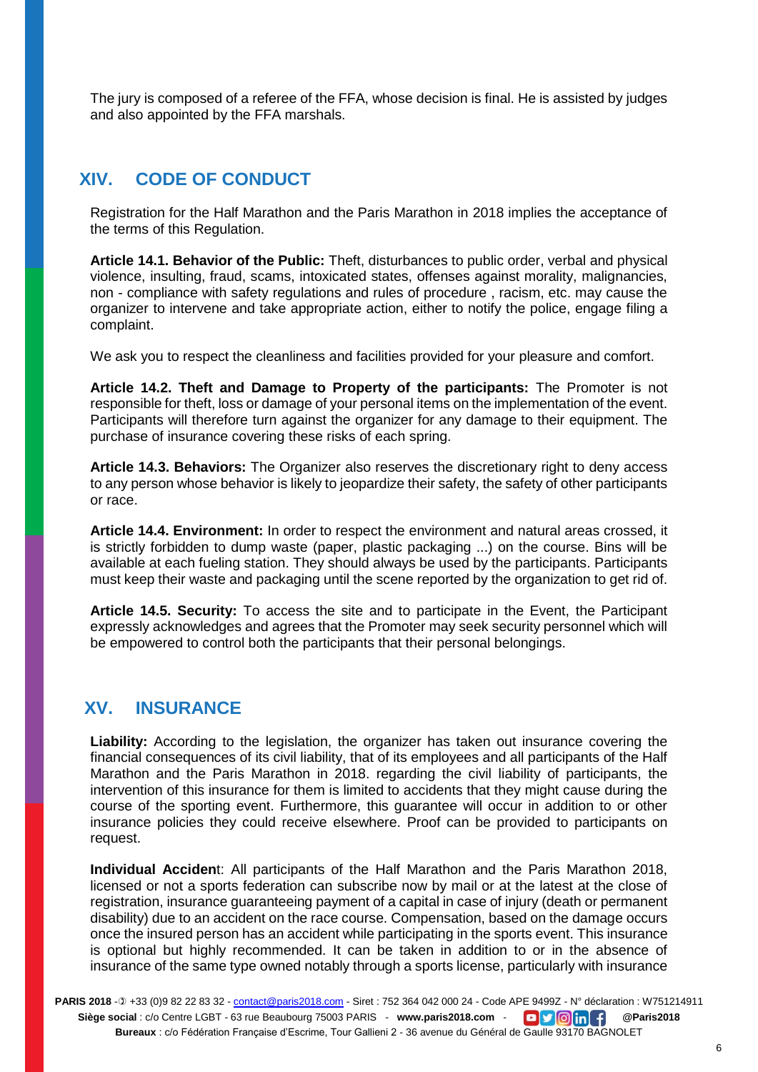The jury is composed of a referee of the FFA, whose decision is final. He is assisted by judges and also appointed by the FFA marshals.

## **XIV. CODE OF CONDUCT**

Registration for the Half Marathon and the Paris Marathon in 2018 implies the acceptance of the terms of this Regulation.

**Article 14.1. Behavior of the Public:** Theft, disturbances to public order, verbal and physical violence, insulting, fraud, scams, intoxicated states, offenses against morality, malignancies, non - compliance with safety regulations and rules of procedure , racism, etc. may cause the organizer to intervene and take appropriate action, either to notify the police, engage filing a complaint.

We ask you to respect the cleanliness and facilities provided for your pleasure and comfort.

**Article 14.2. Theft and Damage to Property of the participants:** The Promoter is not responsible for theft, loss or damage of your personal items on the implementation of the event. Participants will therefore turn against the organizer for any damage to their equipment. The purchase of insurance covering these risks of each spring.

**Article 14.3. Behaviors:** The Organizer also reserves the discretionary right to deny access to any person whose behavior is likely to jeopardize their safety, the safety of other participants or race.

**Article 14.4. Environment:** In order to respect the environment and natural areas crossed, it is strictly forbidden to dump waste (paper, plastic packaging ...) on the course. Bins will be available at each fueling station. They should always be used by the participants. Participants must keep their waste and packaging until the scene reported by the organization to get rid of.

**Article 14.5. Security:** To access the site and to participate in the Event, the Participant expressly acknowledges and agrees that the Promoter may seek security personnel which will be empowered to control both the participants that their personal belongings.

## **XV. INSURANCE**

Liability: According to the legislation, the organizer has taken out insurance covering the financial consequences of its civil liability, that of its employees and all participants of the Half Marathon and the Paris Marathon in 2018. regarding the civil liability of participants, the intervention of this insurance for them is limited to accidents that they might cause during the course of the sporting event. Furthermore, this guarantee will occur in addition to or other insurance policies they could receive elsewhere. Proof can be provided to participants on request.

**Individual Acciden**t: All participants of the Half Marathon and the Paris Marathon 2018, licensed or not a sports federation can subscribe now by mail or at the latest at the close of registration, insurance guaranteeing payment of a capital in case of injury (death or permanent disability) due to an accident on the race course. Compensation, based on the damage occurs once the insured person has an accident while participating in the sports event. This insurance is optional but highly recommended. It can be taken in addition to or in the absence of insurance of the same type owned notably through a sports license, particularly with insurance